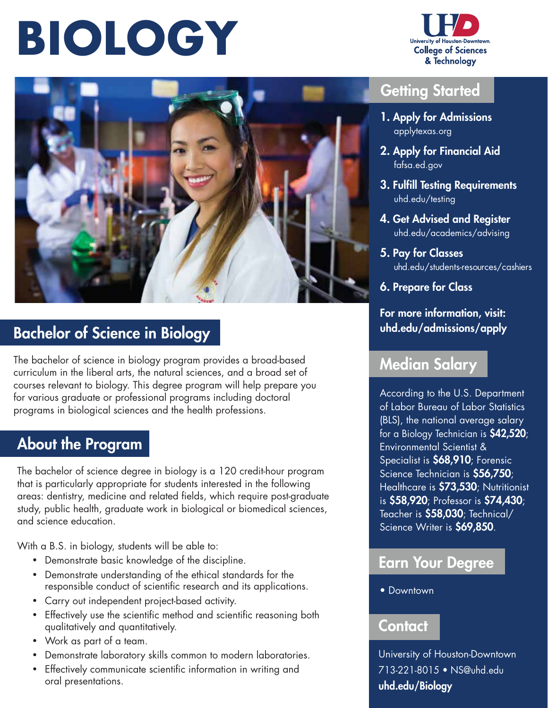# **BIOLOGY**





## Bachelor of Science in Biology

The bachelor of science in biology program provides a broad-based curriculum in the liberal arts, the natural sciences, and a broad set of courses relevant to biology. This degree program will help prepare you for various graduate or professional programs including doctoral programs in biological sciences and the health professions.

### About the Program

The bachelor of science degree in biology is a 120 credit-hour program that is particularly appropriate for students interested in the following areas: dentistry, medicine and related fields, which require post-graduate study, public health, graduate work in biological or biomedical sciences, and science education.

With a B.S. in biology, students will be able to:

- Demonstrate basic knowledge of the discipline.
- Demonstrate understanding of the ethical standards for the responsible conduct of scientific research and its applications.
- Carry out independent project-based activity.
- Effectively use the scientific method and scientific reasoning both qualitatively and quantitatively.
- Work as part of a team.
- Demonstrate laboratory skills common to modern laboratories.
- Effectively communicate scientific information in writing and oral presentations.

#### Getting Started

- 1. Apply for Admissions  [applytexas.org](https://applytexas.org)
- 2. Apply for Financial Aid  [fafsa.ed.gov](https://fafsa.ed.gov)
- 3. Fulfill Testing Requirements  [uhd.edu/testing](https://uhd.edu/testing)
- 4. Get Advised and Register  [uhd.edu/academics/advising](https://uhd.edu/academics/advising)
- 5. Pay for Classes [uhd.edu/students-resources/cashiers](https://uhd.edu/students-resources/cashiers)
- 6. Prepare for Class

#### For more information, visit: [uhd.edu/admissions/apply](https://uhd.edu/admissions/apply)

#### Median Salary

According to the U.S. Department of Labor Bureau of Labor Statistics (BLS), the national average salary for a Biology Technician is \$42,520; Environmental Scientist & Specialist is \$68,910; Forensic Science Technician is \$56,750; Healthcare is \$73,530; Nutritionist is \$58,920; Professor is \$74,430; Teacher is \$58,030; Technical/ Science Writer is \$69,850.

#### Earn Your Degree

• Downtown

#### **Contact**

University of Houston-Downtown 713-221-8015 • [NS@uhd.edu](mailto:NS@uhd.edu)  [uhd.edu/Biology](https://uhd.edu/Biology)